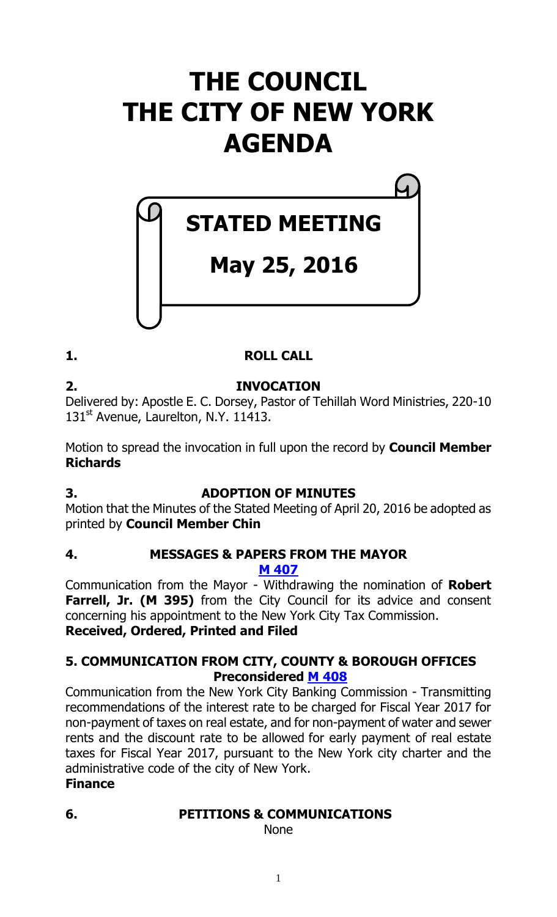# **THE COUNCIL THE CITY OF NEW YORK AGENDA**

# **STATED MEETING**

## **May 25, 2016**

## **1. ROLL CALL**

**2. INVOCATION** Delivered by: Apostle E. C. Dorsey, Pastor of Tehillah Word Ministries, 220-10 131<sup>st</sup> Avenue, Laurelton, N.Y. 11413.

Motion to spread the invocation in full upon the record by **Council Member Richards**

## **3. ADOPTION OF MINUTES**

Motion that the Minutes of the Stated Meeting of April 20, 2016 be adopted as printed by **Council Member Chin**

#### **4. MESSAGES & PAPERS FROM THE MAYOR M [407](http://legistar.council.nyc.gov/LegislationDetail.aspx?ID=2735439&GUID=097FA546-72A4-4D77-90AB-4E731D386808&Options=ID%7cText%7c&Search=407)**

Communication from the Mayor - Withdrawing the nomination of **Robert Farrell, Jr. (M 395)** from the City Council for its advice and consent concerning his appointment to the New York City Tax Commission. **Received, Ordered, Printed and Filed**

## **5. COMMUNICATION FROM CITY, COUNTY & BOROUGH OFFICES Preconsidered M [408](http://legistar.council.nyc.gov/LegislationDetail.aspx?ID=2734852&GUID=794B9E34-EE02-4D52-8D4C-722EFD43DDB8&Options=ID%7c&Search=)**

Communication from the New York City Banking Commission - Transmitting recommendations of the interest rate to be charged for Fiscal Year 2017 for non-payment of taxes on real estate, and for non-payment of water and sewer rents and the discount rate to be allowed for early payment of real estate taxes for Fiscal Year 2017, pursuant to the New York city charter and the administrative code of the city of New York.

## **Finance**

## **6. PETITIONS & COMMUNICATIONS**

None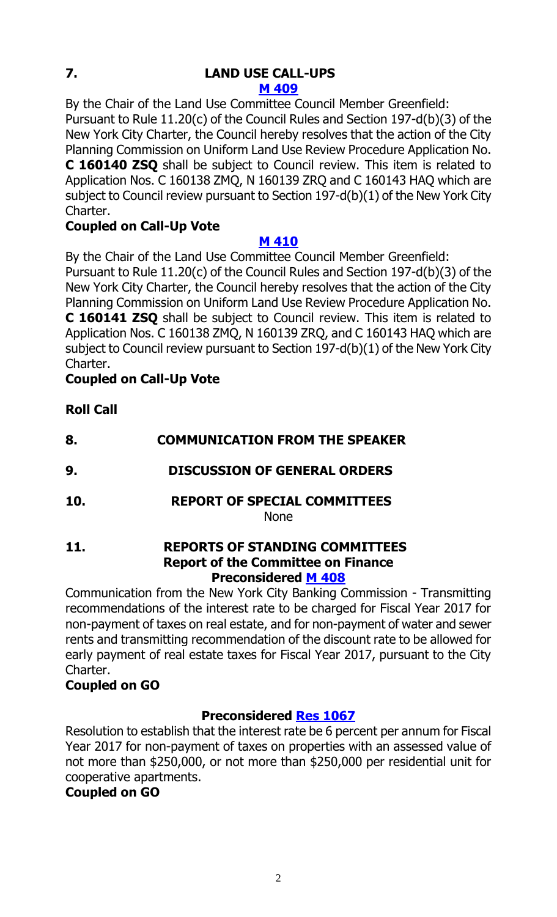# **7. LAND USE CALL-UPS**

**M [409](http://legistar.council.nyc.gov/LegislationDetail.aspx?ID=2735440&GUID=AB7EA3A3-BAB5-4541-A19B-53F1FC4580C1&Options=ID%7c&Search=)**

By the Chair of the Land Use Committee Council Member Greenfield: Pursuant to Rule 11.20(c) of the Council Rules and Section 197-d(b)(3) of the New York City Charter, the Council hereby resolves that the action of the City Planning Commission on Uniform Land Use Review Procedure Application No. **C 160140 ZSQ** shall be subject to Council review. This item is related to Application Nos. C 160138 ZMQ, N 160139 ZRQ and C 160143 HAQ which are subject to Council review pursuant to Section 197-d(b)(1) of the New York City Charter.

## **Coupled on Call-Up Vote**

## **M [410](http://legistar.council.nyc.gov/LegislationDetail.aspx?ID=2735441&GUID=72B72111-5A17-4850-9A12-25946BA96B9B&Options=ID|&Search=)**

By the Chair of the Land Use Committee Council Member Greenfield: Pursuant to Rule 11.20(c) of the Council Rules and Section 197-d(b)(3) of the New York City Charter, the Council hereby resolves that the action of the City Planning Commission on Uniform Land Use Review Procedure Application No. **C 160141 ZSQ** shall be subject to Council review. This item is related to Application Nos. C 160138 ZMQ, N 160139 ZRQ, and C 160143 HAQ which are subject to Council review pursuant to Section 197-d(b)(1) of the New York City Charter.

## **Coupled on Call-Up Vote**

**Roll Call**

| 8.  | <b>COMMUNICATION FROM THE SPEAKER</b>                                             |
|-----|-----------------------------------------------------------------------------------|
| 9.  | <b>DISCUSSION OF GENERAL ORDERS</b>                                               |
| 10. | <b>REPORT OF SPECIAL COMMITTEES</b><br><b>None</b>                                |
| 11. | <b>REPORTS OF STANDING COMMITTEES</b><br><b>Bened of the Committee on Finance</b> |

#### **Report of the Committee on Finance Preconsidered M [408](http://legistar.council.nyc.gov/LegislationDetail.aspx?ID=2734852&GUID=794B9E34-EE02-4D52-8D4C-722EFD43DDB8&Options=ID%7c&Search=)**

Communication from the New York City Banking Commission - Transmitting recommendations of the interest rate to be charged for Fiscal Year 2017 for non-payment of taxes on real estate, and for non-payment of water and sewer rents and transmitting recommendation of the discount rate to be allowed for early payment of real estate taxes for Fiscal Year 2017, pursuant to the City Charter.

## **Coupled on GO**

## **Preconsidered Res [1067](http://legistar.council.nyc.gov/LegislationDetail.aspx?ID=2733563&GUID=C5DFD9F7-CF62-4982-BE38-FF45E26375B9&Options=ID%7c&Search=)**

Resolution to establish that the interest rate be 6 percent per annum for Fiscal Year 2017 for non-payment of taxes on properties with an assessed value of not more than \$250,000, or not more than \$250,000 per residential unit for cooperative apartments.

## **Coupled on GO**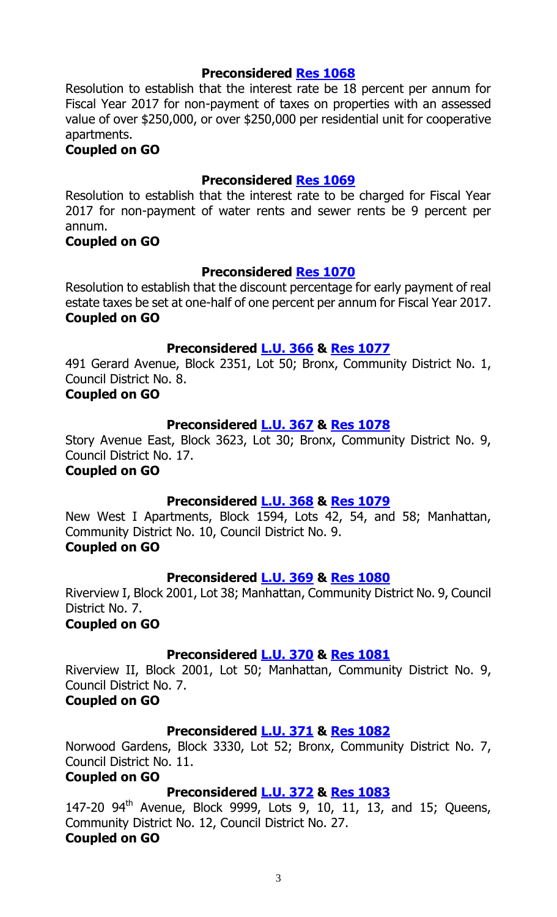#### **Preconsidered Res [1068](http://legistar.council.nyc.gov/LegislationDetail.aspx?ID=2733564&GUID=92C3DCBE-C63B-4431-B4AB-A6FE85B7C5A1&Options=ID|&Search=)**

Resolution to establish that the interest rate be 18 percent per annum for Fiscal Year 2017 for non-payment of taxes on properties with an assessed value of over \$250,000, or over \$250,000 per residential unit for cooperative apartments.

#### **Coupled on GO**

#### **Preconsidered Res [1069](http://legistar.council.nyc.gov/LegislationDetail.aspx?ID=2733596&GUID=BF5FA169-AB75-487C-A037-D542497E7E63&Options=ID|&Search=)**

Resolution to establish that the interest rate to be charged for Fiscal Year 2017 for non-payment of water rents and sewer rents be 9 percent per annum.

#### **Coupled on GO**

#### **Preconsidered Res [1070](http://legistar.council.nyc.gov/LegislationDetail.aspx?ID=2733562&GUID=9FEF0D4B-E412-4DD4-83A6-44EAF5793B2C&Options=ID|&Search=)**

Resolution to establish that the discount percentage for early payment of real estate taxes be set at one-half of one percent per annum for Fiscal Year 2017. **Coupled on GO**

## **Preconsidered [L.U.](http://legistar.council.nyc.gov/LegislationDetail.aspx?ID=2733597&GUID=37BFB6E2-FFFE-4DA7-9C66-A4E0FE735A2A&Options=ID|&Search=) 366 & Res [1077](http://legistar.council.nyc.gov/LegislationDetail.aspx?ID=2735497&GUID=FD9ED3BA-DE47-49CD-93E0-7BED2D903F57&Options=ID%7c&Search=)**

491 Gerard Avenue, Block 2351, Lot 50; Bronx, Community District No. 1, Council District No. 8.

#### **Coupled on GO**

#### **Preconsidered [L.U.](http://legistar.council.nyc.gov/LegislationDetail.aspx?ID=2733617&GUID=131D89BF-F41A-4DEB-A5BD-7760F820F74B&Options=ID|&Search=) 367 & Res [1078](http://legistar.council.nyc.gov/LegislationDetail.aspx?ID=2735498&GUID=FEEA435F-13B2-4AB0-A2B8-E751BB2A7F31&Options=ID|&Search=)**

Story Avenue East, Block 3623, Lot 30; Bronx, Community District No. 9, Council District No. 17.

**Coupled on GO**

#### **Preconsidered [L.U.](http://legistar.council.nyc.gov/LegislationDetail.aspx?ID=2733618&GUID=23778F19-9827-40D6-AA29-3BB0972C5D00&Options=ID|&Search=) 368 & Res [1079](http://legistar.council.nyc.gov/LegislationDetail.aspx?ID=2735499&GUID=B29A8130-AFBF-4FC3-98CE-C396DE76FE4E&Options=ID|&Search=)**

New West I Apartments, Block 1594, Lots 42, 54, and 58; Manhattan, Community District No. 10, Council District No. 9. **Coupled on GO**

#### **Preconsidered [L.U.](http://legistar.council.nyc.gov/LegislationDetail.aspx?ID=2733619&GUID=F308248D-4E41-48F7-B224-FBFDE84656CD&Options=ID|&Search=) 369 & Res [1080](http://legistar.council.nyc.gov/LegislationDetail.aspx?ID=2735500&GUID=EA7D6D0C-76C7-4FDE-94D1-21E5C05A37C2&Options=ID|&Search=)**

Riverview I, Block 2001, Lot 38; Manhattan, Community District No. 9, Council District No. 7.

**Coupled on GO**

#### **Preconsidered [L.U.](http://legistar.council.nyc.gov/LegislationDetail.aspx?ID=2733647&GUID=B358B512-9660-44DC-9369-E6BA09763125&Options=ID|&Search=) 370 & Res [1081](http://legistar.council.nyc.gov/LegislationDetail.aspx?ID=2735501&GUID=C04E8447-EF6E-45B9-82C4-CA02E2DCB1C1&Options=ID|&Search=)**

Riverview II, Block 2001, Lot 50; Manhattan, Community District No. 9, Council District No. 7.

#### **Coupled on GO**

#### **Preconsidered [L.U.](http://legistar.council.nyc.gov/LegislationDetail.aspx?ID=2733648&GUID=BD1B868B-07A6-4CFB-A016-633C315F61CB&Options=ID|&Search=) 371 & Res [1082](http://legistar.council.nyc.gov/LegislationDetail.aspx?ID=2735502&GUID=5A9FEC01-DF3C-4A61-80B0-A3872F0278DB&Options=ID|&Search=)**

Norwood Gardens, Block 3330, Lot 52; Bronx, Community District No. 7, Council District No. 11.

#### **Coupled on GO**

#### **Preconsidered [L.U.](http://legistar.council.nyc.gov/LegislationDetail.aspx?ID=2733660&GUID=D123EE5D-CF1B-446B-BCAC-C9A8AEDDEB2E&Options=ID|&Search=) 372 & Res [1083](http://legistar.council.nyc.gov/LegislationDetail.aspx?ID=2735503&GUID=F004BE3F-B9BB-452D-96E0-46CD7510565D&Options=ID|&Search=)**

147-20  $94^{th}$  Avenue, Block  $9999$ , Lots  $9$ , 10, 11, 13, and 15; Queens, Community District No. 12, Council District No. 27. **Coupled on GO**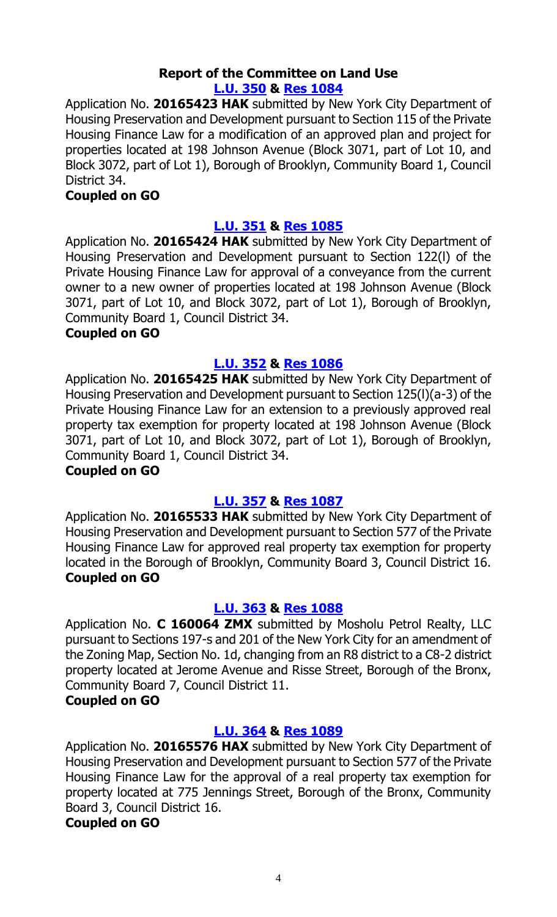#### **Report of the Committee on Land Use [L.U. 350](http://legistar.council.nyc.gov/LegislationDetail.aspx?ID=2636861&GUID=EBE28B8B-C59F-433B-9AB9-B2775DA3C639&Options=ID|&Search=) & Res [1084](http://legistar.council.nyc.gov/LegislationDetail.aspx?ID=2732496&GUID=DC2D61CB-35DA-4847-968A-36C861B656E5&Options=ID|&Search=)**

Application No. **20165423 HAK** submitted by New York City Department of Housing Preservation and Development pursuant to Section 115 of the Private Housing Finance Law for a modification of an approved plan and project for properties located at 198 Johnson Avenue (Block 3071, part of Lot 10, and Block 3072, part of Lot 1), Borough of Brooklyn, Community Board 1, Council District 34.

#### **Coupled on GO**

#### **[L.U. 351](http://legistar.council.nyc.gov/LegislationDetail.aspx?ID=2636862&GUID=7A5123CB-5B63-40A2-BB3A-E17B44175FA3&Options=ID|&Search=) & Res [1085](http://legistar.council.nyc.gov/LegislationDetail.aspx?ID=2732497&GUID=0C895496-6081-41D6-A516-32458015B2D5&Options=ID|&Search=)**

Application No. **20165424 HAK** submitted by New York City Department of Housing Preservation and Development pursuant to Section 122(l) of the Private Housing Finance Law for approval of a conveyance from the current owner to a new owner of properties located at 198 Johnson Avenue (Block 3071, part of Lot 10, and Block 3072, part of Lot 1), Borough of Brooklyn, Community Board 1, Council District 34.

#### **Coupled on GO**

### **[L.U. 352](http://legistar.council.nyc.gov/LegislationDetail.aspx?ID=2636863&GUID=DA901279-CA39-4CA5-9250-ACC85EF20736&Options=ID|&Search=) & Res [1086](http://legistar.council.nyc.gov/LegislationDetail.aspx?ID=2732498&GUID=5491608C-0467-4119-90D4-525B144DC867&Options=ID|&Search=)**

Application No. **20165425 HAK** submitted by New York City Department of Housing Preservation and Development pursuant to Section 125(l)(a-3) of the Private Housing Finance Law for an extension to a previously approved real property tax exemption for property located at 198 Johnson Avenue (Block 3071, part of Lot 10, and Block 3072, part of Lot 1), Borough of Brooklyn, Community Board 1, Council District 34.

#### **Coupled on GO**

## **[L.U. 357](http://legistar.council.nyc.gov/LegislationDetail.aspx?ID=2694011&GUID=A1E2FE49-89EB-4493-A479-E48502C49441&Options=ID|&Search=) & Res [1087](http://legistar.council.nyc.gov/LegislationDetail.aspx?ID=2732499&GUID=0D839BC2-4791-46C6-AA64-F86CA53760F5&Options=ID|&Search=)**

Application No. **20165533 HAK** submitted by New York City Department of Housing Preservation and Development pursuant to Section 577 of the Private Housing Finance Law for approved real property tax exemption for property located in the Borough of Brooklyn, Community Board 3, Council District 16. **Coupled on GO**

#### **[L.U. 363](http://legistar.council.nyc.gov/LegislationDetail.aspx?ID=2709946&GUID=2A3FCCF5-5668-4D55-B5E7-D98A17D5BCCD&Options=ID|&Search=) & Res [1088](http://legistar.council.nyc.gov/LegislationDetail.aspx?ID=2732500&GUID=AD5FCAC8-2E1C-48D9-BDCE-C4DA0BD79195&Options=ID|&Search=)**

Application No. **C 160064 ZMX** submitted by Mosholu Petrol Realty, LLC pursuant to Sections 197-s and 201 of the New York City for an amendment of the Zoning Map, Section No. 1d, changing from an R8 district to a C8-2 district property located at Jerome Avenue and Risse Street, Borough of the Bronx, Community Board 7, Council District 11.

#### **Coupled on GO**

## **[L.U. 364](http://legistar.council.nyc.gov/LegislationDetail.aspx?ID=2709947&GUID=05C1E069-C6A9-40F3-8590-6C488661EB8E&Options=ID|&Search=) & Res [1089](http://legistar.council.nyc.gov/LegislationDetail.aspx?ID=2732501&GUID=9471D6B2-646F-438A-B0D7-F9A106A28F7F&Options=ID|&Search=)**

Application No. **20165576 HAX** submitted by New York City Department of Housing Preservation and Development pursuant to Section 577 of the Private Housing Finance Law for the approval of a real property tax exemption for property located at 775 Jennings Street, Borough of the Bronx, Community Board 3, Council District 16.

#### **Coupled on GO**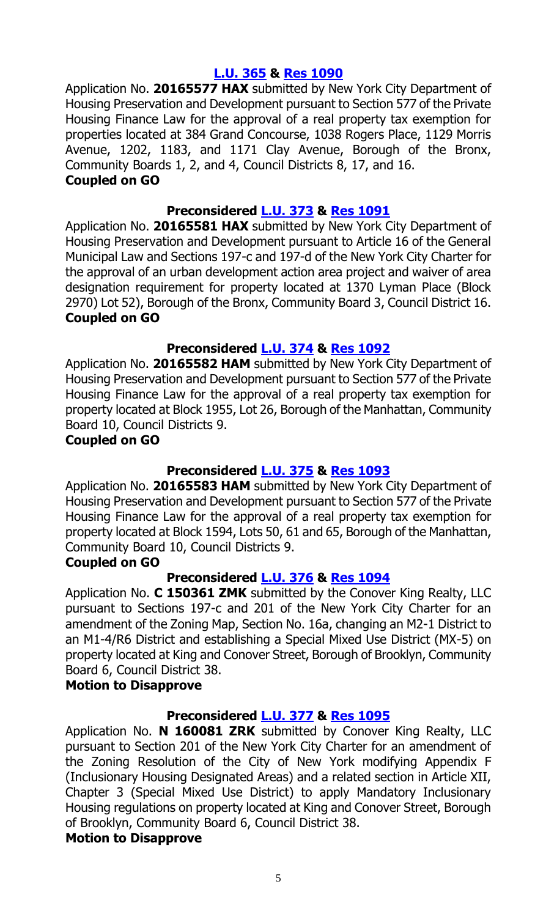## **[L.U. 365](http://legistar.council.nyc.gov/LegislationDetail.aspx?ID=2709948&GUID=530560FA-C267-4D03-A31E-8F6A9C07A036&Options=ID|&Search=) & Res [1090](http://legistar.council.nyc.gov/LegislationDetail.aspx?ID=2732502&GUID=8F7CF0EC-E2FB-47AB-BD42-29FD54AB4546&Options=ID|&Search=)**

Application No. **20165577 HAX** submitted by New York City Department of Housing Preservation and Development pursuant to Section 577 of the Private Housing Finance Law for the approval of a real property tax exemption for properties located at 384 Grand Concourse, 1038 Rogers Place, 1129 Morris Avenue, 1202, 1183, and 1171 Clay Avenue, Borough of the Bronx, Community Boards 1, 2, and 4, Council Districts 8, 17, and 16. **Coupled on GO**

### **Preconsidered [L.U.](http://legistar.council.nyc.gov/LegislationDetail.aspx?ID=2722568&GUID=7C617DA4-03C4-40FC-A867-95A0396D953D&Options=ID|&Search=) 373 & Res [1091](http://legistar.council.nyc.gov/LegislationDetail.aspx?ID=2732503&GUID=A7FF5BE8-0236-4286-A4C0-302A68E5A08B&Options=ID|&Search=)**

Application No. **20165581 HAX** submitted by New York City Department of Housing Preservation and Development pursuant to Article 16 of the General Municipal Law and Sections 197-c and 197-d of the New York City Charter for the approval of an urban development action area project and waiver of area designation requirement for property located at 1370 Lyman Place (Block 2970) Lot 52), Borough of the Bronx, Community Board 3, Council District 16. **Coupled on GO**

### **Preconsidered [L.U.](http://legistar.council.nyc.gov/LegislationDetail.aspx?ID=2722569&GUID=8482153C-8B46-411C-83A3-1F33641C4850&Options=ID|&Search=) 374 & Res [1092](http://legistar.council.nyc.gov/LegislationDetail.aspx?ID=2732504&GUID=BFBD0D9A-D376-4063-A23E-400C75B31344&Options=ID|&Search=)**

Application No. **20165582 HAM** submitted by New York City Department of Housing Preservation and Development pursuant to Section 577 of the Private Housing Finance Law for the approval of a real property tax exemption for property located at Block 1955, Lot 26, Borough of the Manhattan, Community Board 10, Council Districts 9.

#### **Coupled on GO**

## **Preconsidered [L.U.](http://legistar.council.nyc.gov/LegislationDetail.aspx?ID=2722589&GUID=75D7D729-A103-4D2D-AEA7-A4523715EA01&Options=ID|&Search=) 375 & Res [1093](http://legistar.council.nyc.gov/LegislationDetail.aspx?ID=2732505&GUID=83D34B5F-0C09-432A-BF88-A486A1D0CBF1&Options=ID|&Search=)**

Application No. **20165583 HAM** submitted by New York City Department of Housing Preservation and Development pursuant to Section 577 of the Private Housing Finance Law for the approval of a real property tax exemption for property located at Block 1594, Lots 50, 61 and 65, Borough of the Manhattan, Community Board 10, Council Districts 9.

#### **Coupled on GO**

#### **Preconsidered [L.U.](http://legistar.council.nyc.gov/LegislationDetail.aspx?ID=2722540&GUID=D138B437-ABA0-4178-8342-43D5DCC62C33&Options=ID|&Search=) 376 & Res [1094](http://legistar.council.nyc.gov/LegislationDetail.aspx?ID=2732506&GUID=DB78009E-7151-4F41-94A9-7EE939FBAF29&Options=ID|&Search=)**

Application No. **C 150361 ZMK** submitted by the Conover King Realty, LLC pursuant to Sections 197-c and 201 of the New York City Charter for an amendment of the Zoning Map, Section No. 16a, changing an M2-1 District to an M1-4/R6 District and establishing a Special Mixed Use District (MX-5) on property located at King and Conover Street, Borough of Brooklyn, Community Board 6, Council District 38.

#### **Motion to Disapprove**

#### **Preconsidered [L.U.](http://legistar.council.nyc.gov/LegislationDetail.aspx?ID=2722567&GUID=FF494A76-E367-45FA-8D1A-2438C432F0A1&Options=ID|&Search=0377) 377 & Res [1095](http://legistar.council.nyc.gov/LegislationDetail.aspx?ID=2732507&GUID=E1AC5B67-A153-4965-B7A6-971F74731D60&Options=ID%7c&Search=)**

Application No. **N 160081 ZRK** submitted by Conover King Realty, LLC pursuant to Section 201 of the New York City Charter for an amendment of the Zoning Resolution of the City of New York modifying Appendix F (Inclusionary Housing Designated Areas) and a related section in Article XII, Chapter 3 (Special Mixed Use District) to apply Mandatory Inclusionary Housing regulations on property located at King and Conover Street, Borough of Brooklyn, Community Board 6, Council District 38.

#### **Motion to Disapprove**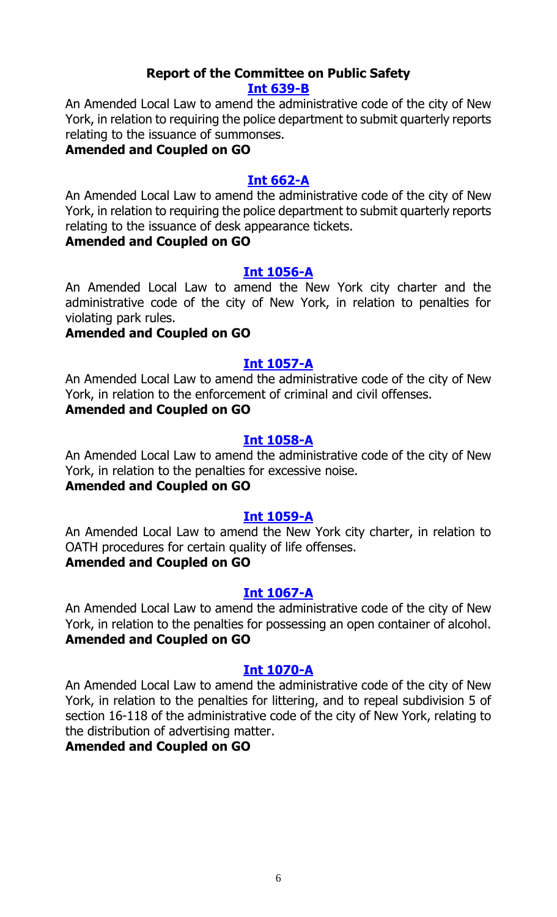#### **Report of the Committee on Public Safety [Int 639-B](http://legistar.council.nyc.gov/LegislationDetail.aspx?ID=2141304&GUID=9598C860-735B-4E7A-A3AF-72628881DB18&Options=Advanced&Search=)**

An Amended Local Law to amend the administrative code of the city of New York, in relation to requiring the police department to submit quarterly reports relating to the issuance of summonses.

#### **Amended and Coupled on GO**

### **[Int 662-A](http://legistar.council.nyc.gov/LegislationDetail.aspx?ID=2170516&GUID=A003AC32-F040-4548-ABF4-2A7300D68130&Options=Advanced&Search=)**

An Amended Local Law to amend the administrative code of the city of New York, in relation to requiring the police department to submit quarterly reports relating to the issuance of desk appearance tickets.

#### **Amended and Coupled on GO**

#### **[Int 1056-A](http://legistar.council.nyc.gov/LegislationDetail.aspx?ID=2553511&GUID=BC30C7C2-9209-4B39-98FC-FFCD6A079212&Options=Advanced&Search=)**

An Amended Local Law to amend the New York city charter and the administrative code of the city of New York, in relation to penalties for violating park rules.

### **Amended and Coupled on GO**

### **[Int 1057-A](http://legistar.council.nyc.gov/LegislationDetail.aspx?ID=2553507&GUID=BF52096B-1917-4914-977F-91E604025A50&Options=Advanced&Search=)**

An Amended Local Law to amend the administrative code of the city of New York, in relation to the enforcement of criminal and civil offenses.

#### **Amended and Coupled on GO**

#### **[Int 1058-A](http://legistar.council.nyc.gov/LegislationDetail.aspx?ID=2553509&GUID=E41CBE88-2F91-4A68-9210-46B5474064D9&Options=Advanced&Search=)**

An Amended Local Law to amend the administrative code of the city of New York, in relation to the penalties for excessive noise.

## **Amended and Coupled on GO**

#### **[Int 1059-A](http://legistar.council.nyc.gov/LegislationDetail.aspx?ID=2553512&GUID=D93F40DB-CD7D-424C-AC63-AECEACBD4D06&Options=Advanced&Search=)**

An Amended Local Law to amend the New York city charter, in relation to OATH procedures for certain quality of life offenses.

### **Amended and Coupled on GO**

#### **[Int 1067-A](http://legistar.council.nyc.gov/LegislationDetail.aspx?ID=2553510&GUID=CA10BB5F-E09B-4562-89CD-BF86236EDA15&Options=Advanced&Search=)**

An Amended Local Law to amend the administrative code of the city of New York, in relation to the penalties for possessing an open container of alcohol. **Amended and Coupled on GO**

#### **[Int 1070-A](http://legistar.council.nyc.gov/LegislationDetail.aspx?ID=2553508&GUID=1C114CB9-C266-46AD-A67B-750568C524E5&Options=Advanced&Search=)**

An Amended Local Law to amend the administrative code of the city of New York, in relation to the penalties for littering, and to repeal subdivision 5 of section 16-118 of the administrative code of the city of New York, relating to the distribution of advertising matter.

#### **Amended and Coupled on GO**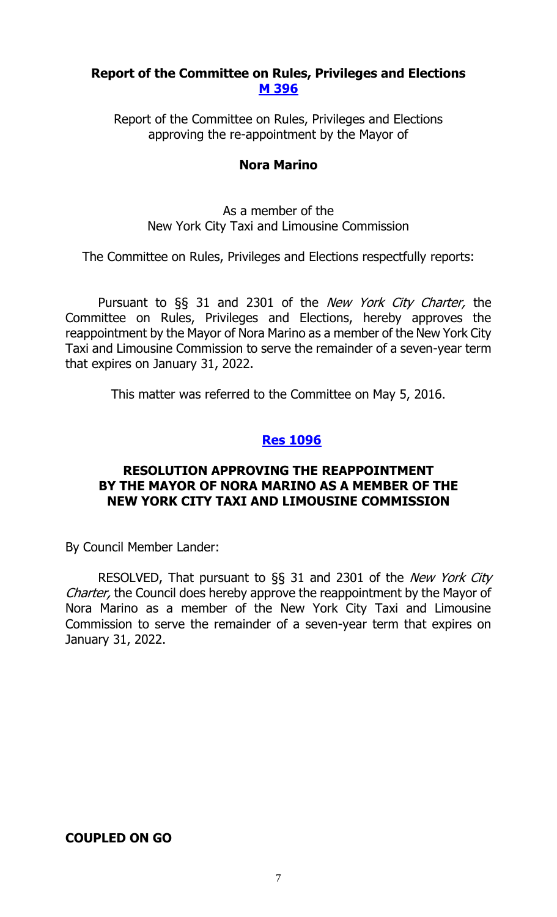#### **Report of the Committee on Rules, Privileges and Elections [M 396](http://legistar.council.nyc.gov/LegislationDetail.aspx?ID=2709926&GUID=1AC2D38C-10BE-4CF4-9452-C208B3FE90DD&Options=ID|&Search=0396)**

Report of the Committee on Rules, Privileges and Elections approving the re-appointment by the Mayor of

#### **Nora Marino**

As a member of the New York City Taxi and Limousine Commission

The Committee on Rules, Privileges and Elections respectfully reports:

Pursuant to §§ 31 and 2301 of the *New York City Charter*, the Committee on Rules, Privileges and Elections, hereby approves the reappointment by the Mayor of Nora Marino as a member of the New York City Taxi and Limousine Commission to serve the remainder of a seven-year term that expires on January 31, 2022.

This matter was referred to the Committee on May 5, 2016.

#### **Res [1096](http://legistar.council.nyc.gov/LegislationDetail.aspx?ID=2735462&GUID=96880D38-4A42-422F-B01F-62992B687055&Options=ID|&Search=)**

#### **RESOLUTION APPROVING THE REAPPOINTMENT BY THE MAYOR OF NORA MARINO AS A MEMBER OF THE NEW YORK CITY TAXI AND LIMOUSINE COMMISSION**

By Council Member Lander:

RESOLVED, That pursuant to §§ 31 and 2301 of the New York City Charter, the Council does hereby approve the reappointment by the Mayor of Nora Marino as a member of the New York City Taxi and Limousine Commission to serve the remainder of a seven-year term that expires on January 31, 2022.

## **COUPLED ON GO**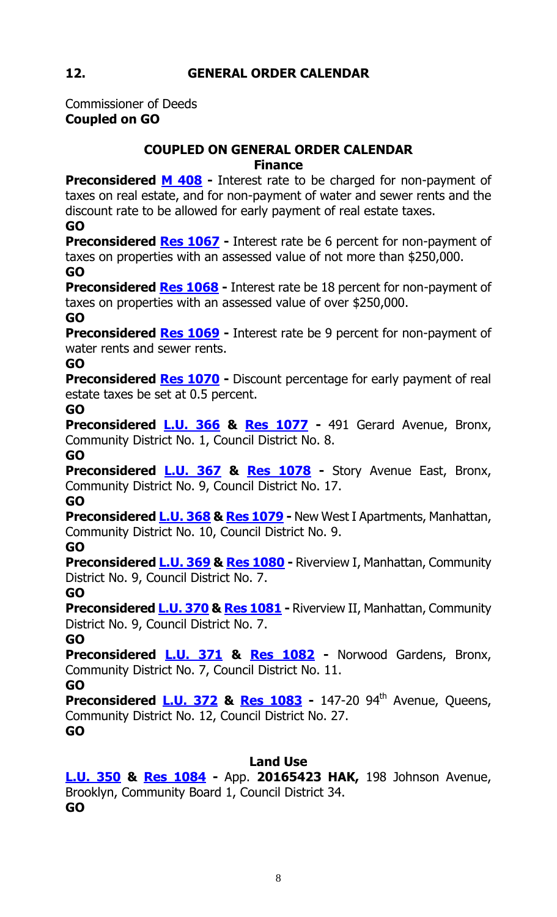Commissioner of Deeds **Coupled on GO**

## **COUPLED ON GENERAL ORDER CALENDAR Finance**

**Preconsidered M [408](http://legistar.council.nyc.gov/LegislationDetail.aspx?ID=2734852&GUID=794B9E34-EE02-4D52-8D4C-722EFD43DDB8&Options=ID%7c&Search=)** - Interest rate to be charged for non-payment of taxes on real estate, and for non-payment of water and sewer rents and the discount rate to be allowed for early payment of real estate taxes.

**GO**

**Preconsidered Res [1067](http://legistar.council.nyc.gov/LegislationDetail.aspx?ID=2733563&GUID=C5DFD9F7-CF62-4982-BE38-FF45E26375B9&Options=ID|&Search=) -** Interest rate be 6 percent for non-payment of taxes on properties with an assessed value of not more than \$250,000. **GO**

**Preconsidered Res [1068](http://legistar.council.nyc.gov/LegislationDetail.aspx?ID=2733564&GUID=92C3DCBE-C63B-4431-B4AB-A6FE85B7C5A1&Options=ID|&Search=)** - Interest rate be 18 percent for non-payment of taxes on properties with an assessed value of over \$250,000.

**GO**

**Preconsidered Res [1069](http://legistar.council.nyc.gov/LegislationDetail.aspx?ID=2733596&GUID=BF5FA169-AB75-487C-A037-D542497E7E63&Options=ID|&Search=)** - Interest rate be 9 percent for non-payment of water rents and sewer rents.

**GO**

**Preconsidered Res [1070](http://legistar.council.nyc.gov/LegislationDetail.aspx?ID=2733562&GUID=9FEF0D4B-E412-4DD4-83A6-44EAF5793B2C&Options=ID|&Search=)** - Discount percentage for early payment of real estate taxes be set at 0.5 percent.

**GO**

**Preconsidered [L.U.](http://legistar.council.nyc.gov/LegislationDetail.aspx?ID=2733597&GUID=37BFB6E2-FFFE-4DA7-9C66-A4E0FE735A2A&Options=ID|&Search=) 366 & Res [1077](http://legistar.council.nyc.gov/LegislationDetail.aspx?ID=2735497&GUID=FD9ED3BA-DE47-49CD-93E0-7BED2D903F57&Options=ID%7c&Search=) -** 491 Gerard Avenue, Bronx, Community District No. 1, Council District No. 8.

**GO**

**Preconsidered [L.U.](http://legistar.council.nyc.gov/LegislationDetail.aspx?ID=2733617&GUID=131D89BF-F41A-4DEB-A5BD-7760F820F74B&Options=ID|&Search=) 367 & Res [1078](http://legistar.council.nyc.gov/LegislationDetail.aspx?ID=2735498&GUID=FEEA435F-13B2-4AB0-A2B8-E751BB2A7F31&Options=ID|&Search=) -** Story Avenue East, Bronx, Community District No. 9, Council District No. 17.

**GO**

**Preconsidered [L.U.](http://legistar.council.nyc.gov/LegislationDetail.aspx?ID=2733618&GUID=23778F19-9827-40D6-AA29-3BB0972C5D00&Options=ID|&Search=) 368 & Res [1079](http://legistar.council.nyc.gov/LegislationDetail.aspx?ID=2735499&GUID=B29A8130-AFBF-4FC3-98CE-C396DE76FE4E&Options=ID|&Search=) -** New West I Apartments, Manhattan, Community District No. 10, Council District No. 9.

**GO**

**Preconsidered [L.U.](http://legistar.council.nyc.gov/LegislationDetail.aspx?ID=2733619&GUID=F308248D-4E41-48F7-B224-FBFDE84656CD&Options=ID|&Search=) 369 & Res [1080](http://legistar.council.nyc.gov/LegislationDetail.aspx?ID=2735500&GUID=EA7D6D0C-76C7-4FDE-94D1-21E5C05A37C2&Options=ID|&Search=) -** Riverview I, Manhattan, Community District No. 9, Council District No. 7.

**GO**

**Preconsidered [L.U.](http://legistar.council.nyc.gov/LegislationDetail.aspx?ID=2733647&GUID=B358B512-9660-44DC-9369-E6BA09763125&Options=ID|&Search=) 370 & Res [1081](http://legistar.council.nyc.gov/LegislationDetail.aspx?ID=2735501&GUID=C04E8447-EF6E-45B9-82C4-CA02E2DCB1C1&Options=ID|&Search=) -** Riverview II, Manhattan, Community District No. 9, Council District No. 7.

**GO**

**Preconsidered [L.U.](http://legistar.council.nyc.gov/LegislationDetail.aspx?ID=2733648&GUID=BD1B868B-07A6-4CFB-A016-633C315F61CB&Options=ID|&Search=) 371 & Res [1082](http://legistar.council.nyc.gov/LegislationDetail.aspx?ID=2735502&GUID=5A9FEC01-DF3C-4A61-80B0-A3872F0278DB&Options=ID|&Search=) -** Norwood Gardens, Bronx, Community District No. 7, Council District No. 11.

**GO**

**Preconsidered [L.U.](http://legistar.council.nyc.gov/LegislationDetail.aspx?ID=2733660&GUID=D123EE5D-CF1B-446B-BCAC-C9A8AEDDEB2E&Options=ID|&Search=) 372 & Res [1083](http://legistar.council.nyc.gov/LegislationDetail.aspx?ID=2735503&GUID=F004BE3F-B9BB-452D-96E0-46CD7510565D&Options=ID|&Search=) -** 147-20 94th Avenue, Queens, Community District No. 12, Council District No. 27. **GO**

## **Land Use**

**[L.U. 350](http://legistar.council.nyc.gov/LegislationDetail.aspx?ID=2636861&GUID=EBE28B8B-C59F-433B-9AB9-B2775DA3C639&Options=ID|&Search=) & Res [1084](http://legistar.council.nyc.gov/LegislationDetail.aspx?ID=2732496&GUID=DC2D61CB-35DA-4847-968A-36C861B656E5&Options=ID|&Search=) -** App. **20165423 HAK,** 198 Johnson Avenue, Brooklyn, Community Board 1, Council District 34. **GO**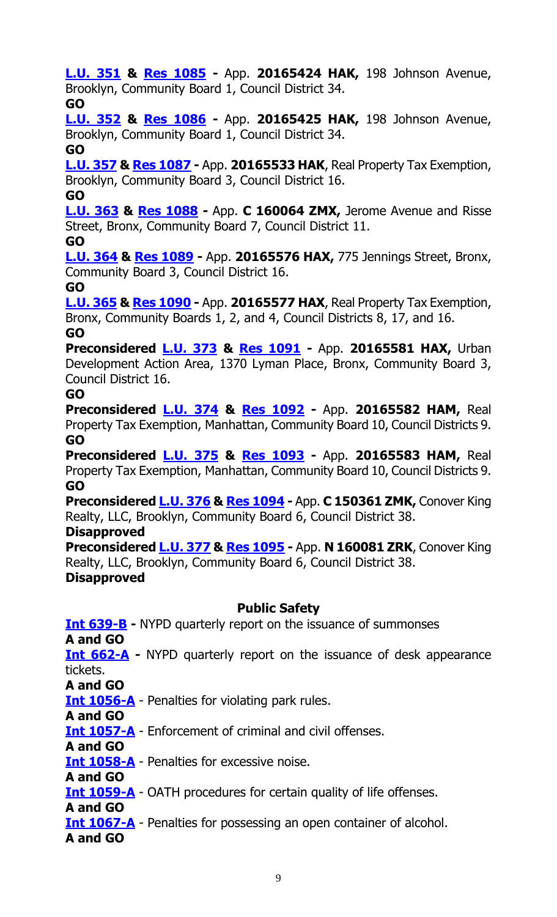**[L.U. 351](http://legistar.council.nyc.gov/LegislationDetail.aspx?ID=2636862&GUID=7A5123CB-5B63-40A2-BB3A-E17B44175FA3&Options=ID|&Search=) & Res [1085](http://legistar.council.nyc.gov/LegislationDetail.aspx?ID=2732497&GUID=0C895496-6081-41D6-A516-32458015B2D5&Options=ID|&Search=) -** App. **20165424 HAK,** 198 Johnson Avenue, Brooklyn, Community Board 1, Council District 34.

## **GO**

**[L.U. 352](http://legistar.council.nyc.gov/LegislationDetail.aspx?ID=2636863&GUID=DA901279-CA39-4CA5-9250-ACC85EF20736&Options=ID|&Search=) & Res [1086](http://legistar.council.nyc.gov/LegislationDetail.aspx?ID=2732498&GUID=5491608C-0467-4119-90D4-525B144DC867&Options=ID|&Search=) -** App. **20165425 HAK,** 198 Johnson Avenue, Brooklyn, Community Board 1, Council District 34.

## **GO**

**[L.U. 357](http://legistar.council.nyc.gov/LegislationDetail.aspx?ID=2694011&GUID=A1E2FE49-89EB-4493-A479-E48502C49441&Options=ID|&Search=) & Res [1087](http://legistar.council.nyc.gov/LegislationDetail.aspx?ID=2732499&GUID=0D839BC2-4791-46C6-AA64-F86CA53760F5&Options=ID|&Search=) -** App. **20165533 HAK**, Real Property Tax Exemption, Brooklyn, Community Board 3, Council District 16.

## **GO**

**[L.U. 363](http://legistar.council.nyc.gov/LegislationDetail.aspx?ID=2709946&GUID=2A3FCCF5-5668-4D55-B5E7-D98A17D5BCCD&Options=ID|&Search=) & Res [1088](http://legistar.council.nyc.gov/LegislationDetail.aspx?ID=2732500&GUID=AD5FCAC8-2E1C-48D9-BDCE-C4DA0BD79195&Options=ID|&Search=) -** App. **C 160064 ZMX,** Jerome Avenue and Risse Street, Bronx, Community Board 7, Council District 11.

## **GO**

**[L.U. 364](http://legistar.council.nyc.gov/LegislationDetail.aspx?ID=2709947&GUID=05C1E069-C6A9-40F3-8590-6C488661EB8E&Options=ID|&Search=) & Res [1089](http://legistar.council.nyc.gov/LegislationDetail.aspx?ID=2732501&GUID=9471D6B2-646F-438A-B0D7-F9A106A28F7F&Options=ID|&Search=) -** App. **20165576 HAX,** 775 Jennings Street, Bronx, Community Board 3, Council District 16.

**GO**

**[L.U. 365](http://legistar.council.nyc.gov/LegislationDetail.aspx?ID=2709948&GUID=530560FA-C267-4D03-A31E-8F6A9C07A036&Options=ID|&Search=) & Res [1090](http://legistar.council.nyc.gov/LegislationDetail.aspx?ID=2732502&GUID=8F7CF0EC-E2FB-47AB-BD42-29FD54AB4546&Options=ID|&Search=) -** App. **20165577 HAX**, Real Property Tax Exemption, Bronx, Community Boards 1, 2, and 4, Council Districts 8, 17, and 16.

## **GO**

**Preconsidered [L.U. 373](http://legistar.council.nyc.gov/LegislationDetail.aspx?ID=2722568&GUID=7C617DA4-03C4-40FC-A867-95A0396D953D&Options=ID|&Search=) & Res [1091](http://legistar.council.nyc.gov/LegislationDetail.aspx?ID=2732503&GUID=A7FF5BE8-0236-4286-A4C0-302A68E5A08B&Options=ID|&Search=) -** App. **20165581 HAX,** Urban Development Action Area, 1370 Lyman Place, Bronx, Community Board 3, Council District 16.

## **GO**

**Preconsidered [L.U.](http://legistar.council.nyc.gov/LegislationDetail.aspx?ID=2722569&GUID=8482153C-8B46-411C-83A3-1F33641C4850&Options=ID|&Search=) 374 & Res [1092](http://legistar.council.nyc.gov/LegislationDetail.aspx?ID=2732504&GUID=BFBD0D9A-D376-4063-A23E-400C75B31344&Options=ID|&Search=) -** App. **20165582 HAM,** Real Property Tax Exemption, Manhattan, Community Board 10, Council Districts 9. **GO**

**Preconsidered [L.U. 375](http://legistar.council.nyc.gov/LegislationDetail.aspx?ID=2722589&GUID=75D7D729-A103-4D2D-AEA7-A4523715EA01&Options=ID|&Search=) & Res [1093](http://legistar.council.nyc.gov/LegislationDetail.aspx?ID=2732505&GUID=83D34B5F-0C09-432A-BF88-A486A1D0CBF1&Options=ID|&Search=) -** App. **20165583 HAM,** Real Property Tax Exemption, Manhattan, Community Board 10, Council Districts 9. **GO**

**Preconsidered [L.U.](http://legistar.council.nyc.gov/LegislationDetail.aspx?ID=2722540&GUID=D138B437-ABA0-4178-8342-43D5DCC62C33&Options=ID|&Search=) 376 & Res [1094](http://legistar.council.nyc.gov/LegislationDetail.aspx?ID=2732506&GUID=DB78009E-7151-4F41-94A9-7EE939FBAF29&Options=ID|&Search=) -** App. **C 150361 ZMK,** Conover King Realty, LLC, Brooklyn, Community Board 6, Council District 38.

## **Disapproved**

**Preconsidered [L.U.](http://legistar.council.nyc.gov/LegislationDetail.aspx?ID=2722567&GUID=FF494A76-E367-45FA-8D1A-2438C432F0A1&Options=ID|&Search=0377) 377 & Res [1095](http://legistar.council.nyc.gov/LegislationDetail.aspx?ID=2732507&GUID=E1AC5B67-A153-4965-B7A6-971F74731D60&Options=ID%7c&Search=) -** App. **N 160081 ZRK**, Conover King Realty, LLC, Brooklyn, Community Board 6, Council District 38. **Disapproved**

## **Public Safety**

**[Int 639-B](http://legistar.council.nyc.gov/LegislationDetail.aspx?ID=2141304&GUID=9598C860-735B-4E7A-A3AF-72628881DB18&Options=Advanced&Search=) -** NYPD quarterly report on the issuance of summonses **A and GO <u>[Int 662-A](http://legistar.council.nyc.gov/LegislationDetail.aspx?ID=2170516&GUID=A003AC32-F040-4548-ABF4-2A7300D68130&Options=Advanced&Search=)</u>** – NYPD quarterly report on the issuance of desk appearance tickets. **A and GO [Int 1056-A](http://legistar.council.nyc.gov/LegislationDetail.aspx?ID=2553511&GUID=BC30C7C2-9209-4B39-98FC-FFCD6A079212&Options=Advanced&Search=)** - Penalties for violating park rules. **A and GO [Int 1057-A](http://legistar.council.nyc.gov/LegislationDetail.aspx?ID=2553507&GUID=BF52096B-1917-4914-977F-91E604025A50&Options=Advanced&Search=)** - Enforcement of criminal and civil offenses. **A and GO [Int 1058-A](http://legistar.council.nyc.gov/LegislationDetail.aspx?ID=2553509&GUID=E41CBE88-2F91-4A68-9210-46B5474064D9&Options=Advanced&Search=)** - Penalties for excessive noise. **A and GO [Int 1059-A](http://legistar.council.nyc.gov/LegislationDetail.aspx?ID=2553512&GUID=D93F40DB-CD7D-424C-AC63-AECEACBD4D06&Options=Advanced&Search=)** - OATH procedures for certain quality of life offenses. **A and GO [Int 1067-A](http://legistar.council.nyc.gov/LegislationDetail.aspx?ID=2553510&GUID=CA10BB5F-E09B-4562-89CD-BF86236EDA15&Options=Advanced&Search=)** - Penalties for possessing an open container of alcohol.

**A and GO**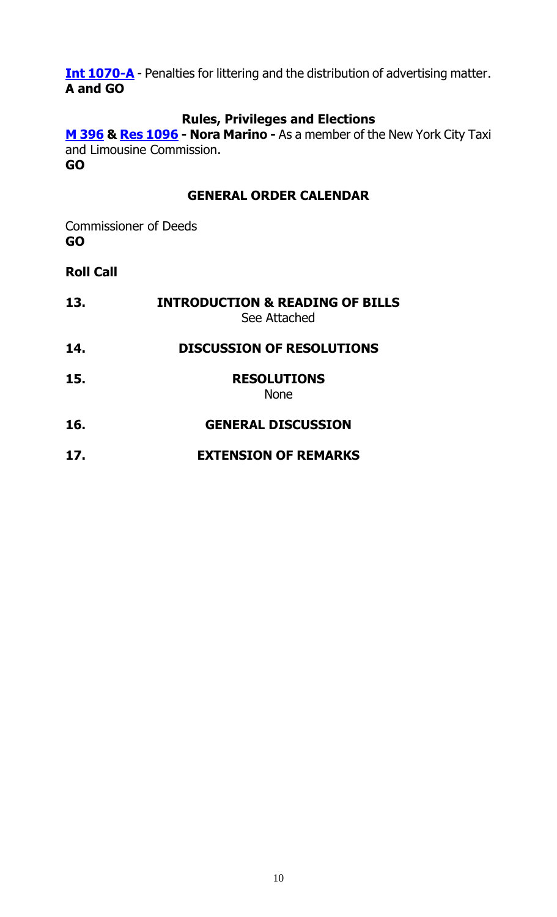**[Int 1070-A](http://legistar.council.nyc.gov/LegislationDetail.aspx?ID=2553508&GUID=1C114CB9-C266-46AD-A67B-750568C524E5&Options=Advanced&Search=)** - Penalties for littering and the distribution of advertising matter. **A and GO**

## **Rules, Privileges and Elections**

**[M 396](http://legistar.council.nyc.gov/LegislationDetail.aspx?ID=2709926&GUID=1AC2D38C-10BE-4CF4-9452-C208B3FE90DD&Options=ID|&Search=0396) & [Res 1096](http://legistar.council.nyc.gov/LegislationDetail.aspx?ID=2735462&GUID=96880D38-4A42-422F-B01F-62992B687055&Options=ID|&Search=) - Nora Marino -** As a member of the New York City Taxi and Limousine Commission. **GO**

### **GENERAL ORDER CALENDAR**

Commissioner of Deeds **GO**

## **Roll Call**

**13. INTRODUCTION & READING OF BILLS** See Attached **14. DISCUSSION OF RESOLUTIONS 15. RESOLUTIONS** None **16. GENERAL DISCUSSION**

**17. EXTENSION OF REMARKS**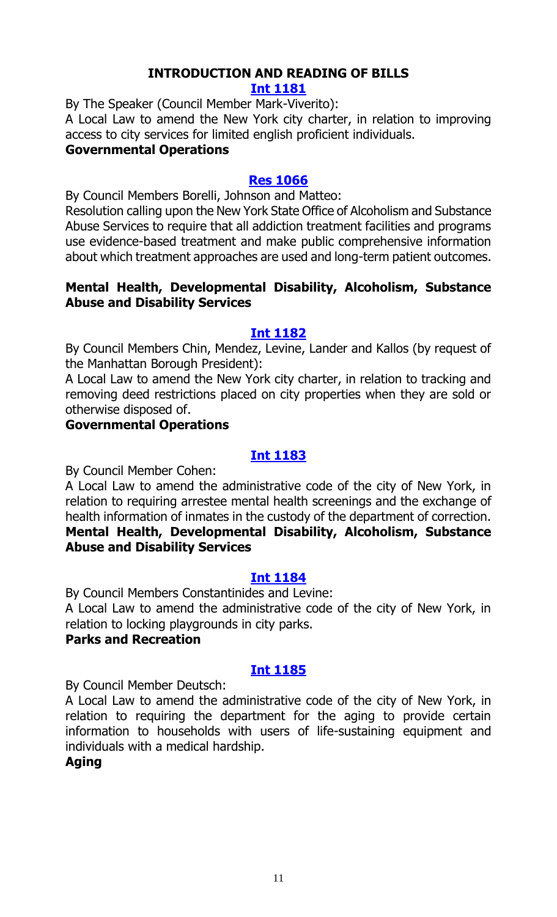## **INTRODUCTION AND READING OF BILLS**

**[Int 1181](http://legistar.council.nyc.gov/LegislationDetail.aspx?ID=2735477&GUID=D0A0ECA1-4D71-47EB-B44D-5919777ED818&Options=ID|&Search=)**

By The Speaker (Council Member Mark-Viverito):

A Local Law to amend the New York city charter, in relation to improving access to city services for limited english proficient individuals.

## **Governmental Operations**

#### **[Res 1066](http://legistar.council.nyc.gov/LegislationDetail.aspx?ID=2735494&GUID=069976B2-98E4-4135-B4E1-137A51B942E0&Options=ID|&Search=)**

By Council Members Borelli, Johnson and Matteo:

Resolution calling upon the New York State Office of Alcoholism and Substance Abuse Services to require that all addiction treatment facilities and programs use evidence-based treatment and make public comprehensive information about which treatment approaches are used and long-term patient outcomes.

#### **Mental Health, Developmental Disability, Alcoholism, Substance Abuse and Disability Services**

#### **[Int 1182](http://legistar.council.nyc.gov/LegislationDetail.aspx?ID=2735475&GUID=C514BD10-3BCE-4529-B12B-2C345CD4C387&Options=ID|&Search=)**

By Council Members Chin, Mendez, Levine, Lander and Kallos (by request of the Manhattan Borough President):

A Local Law to amend the New York city charter, in relation to tracking and removing deed restrictions placed on city properties when they are sold or otherwise disposed of.

#### **Governmental Operations**

### **[Int 1183](http://legistar.council.nyc.gov/LegislationDetail.aspx?ID=2735148&GUID=44E35DA3-1843-4456-95B6-511D0FF7EFB7&Options=ID|&Search=)**

By Council Member Cohen:

A Local Law to amend the administrative code of the city of New York, in relation to requiring arrestee mental health screenings and the exchange of health information of inmates in the custody of the department of correction. **Mental Health, Developmental Disability, Alcoholism, Substance Abuse and Disability Services**

#### **[Int 1184](http://legistar.council.nyc.gov/LegislationDetail.aspx?ID=2735471&GUID=292EE165-F7F2-41DE-983D-32098414DB19&Options=ID|&Search=)**

By Council Members Constantinides and Levine:

A Local Law to amend the administrative code of the city of New York, in relation to locking playgrounds in city parks.

#### **Parks and Recreation**

## **[Int 1185](http://legistar.council.nyc.gov/LegislationDetail.aspx?ID=2735474&GUID=F5F8B329-F2BD-4162-AFA3-D0BF96F6E30F&Options=ID|&Search=)**

By Council Member Deutsch:

A Local Law to amend the administrative code of the city of New York, in relation to requiring the department for the aging to provide certain information to households with users of life-sustaining equipment and individuals with a medical hardship.

## **Aging**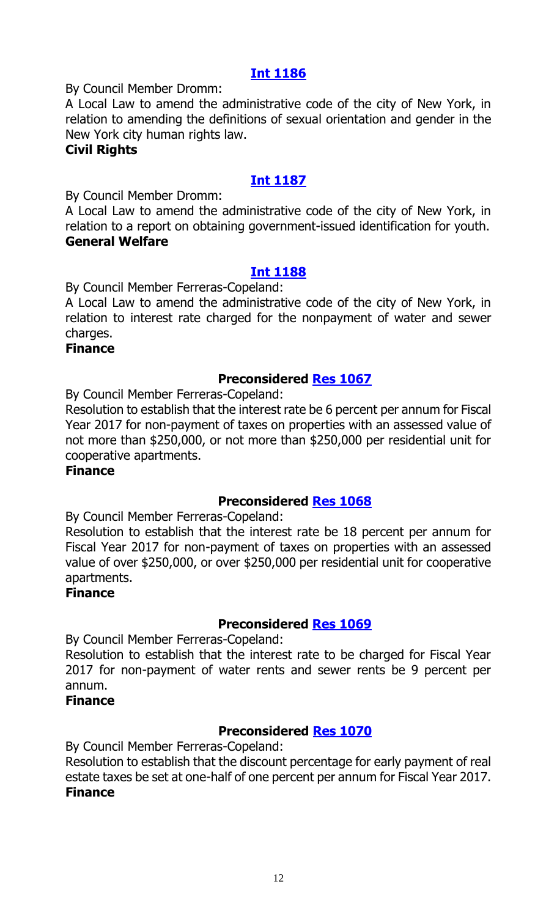#### **[Int 1186](http://legistar.council.nyc.gov/LegislationDetail.aspx?ID=2735474&GUID=F5F8B329-F2BD-4162-AFA3-D0BF96F6E30F&Options=ID|&Search=)**

By Council Member Dromm:

A Local Law to amend the administrative code of the city of New York, in relation to amending the definitions of sexual orientation and gender in the New York city human rights law.

#### **Civil Rights**

## **[Int 1187](http://legistar.council.nyc.gov/LegislationDetail.aspx?ID=2735482&GUID=3086CC6A-D3AA-41FA-8AB7-FAC362AA8C05&Options=ID|&Search=)**

By Council Member Dromm:

A Local Law to amend the administrative code of the city of New York, in relation to a report on obtaining government-issued identification for youth. **General Welfare**

### **[Int 1188](http://legistar.council.nyc.gov/LegislationDetail.aspx?ID=2735485&GUID=37A3DD9F-3F20-4B34-A49A-E3429A2F818F&Options=ID|&Search=)**

By Council Member Ferreras-Copeland:

A Local Law to amend the administrative code of the city of New York, in relation to interest rate charged for the nonpayment of water and sewer charges.

#### **Finance**

#### **Preconsidered [Res 1067](http://legistar.council.nyc.gov/LegislationDetail.aspx?ID=2733563&GUID=C5DFD9F7-CF62-4982-BE38-FF45E26375B9&Options=ID|&Search=)**

By Council Member Ferreras-Copeland:

Resolution to establish that the interest rate be 6 percent per annum for Fiscal Year 2017 for non-payment of taxes on properties with an assessed value of not more than \$250,000, or not more than \$250,000 per residential unit for cooperative apartments.

#### **Finance**

#### **Preconsidered [Res 1068](http://legistar.council.nyc.gov/LegislationDetail.aspx?ID=2733564&GUID=92C3DCBE-C63B-4431-B4AB-A6FE85B7C5A1&Options=ID|&Search=)**

By Council Member Ferreras-Copeland:

Resolution to establish that the interest rate be 18 percent per annum for Fiscal Year 2017 for non-payment of taxes on properties with an assessed value of over \$250,000, or over \$250,000 per residential unit for cooperative apartments.

#### **Finance**

#### **Preconsidered [Res 1069](http://legistar.council.nyc.gov/LegislationDetail.aspx?ID=2733596&GUID=BF5FA169-AB75-487C-A037-D542497E7E63&Options=ID|&Search=)**

By Council Member Ferreras-Copeland:

Resolution to establish that the interest rate to be charged for Fiscal Year 2017 for non-payment of water rents and sewer rents be 9 percent per annum.

#### **Finance**

## **Preconsidered [Res 1070](http://legistar.council.nyc.gov/LegislationDetail.aspx?ID=2733562&GUID=9FEF0D4B-E412-4DD4-83A6-44EAF5793B2C&Options=ID|&Search=)**

By Council Member Ferreras-Copeland:

Resolution to establish that the discount percentage for early payment of real estate taxes be set at one-half of one percent per annum for Fiscal Year 2017. **Finance**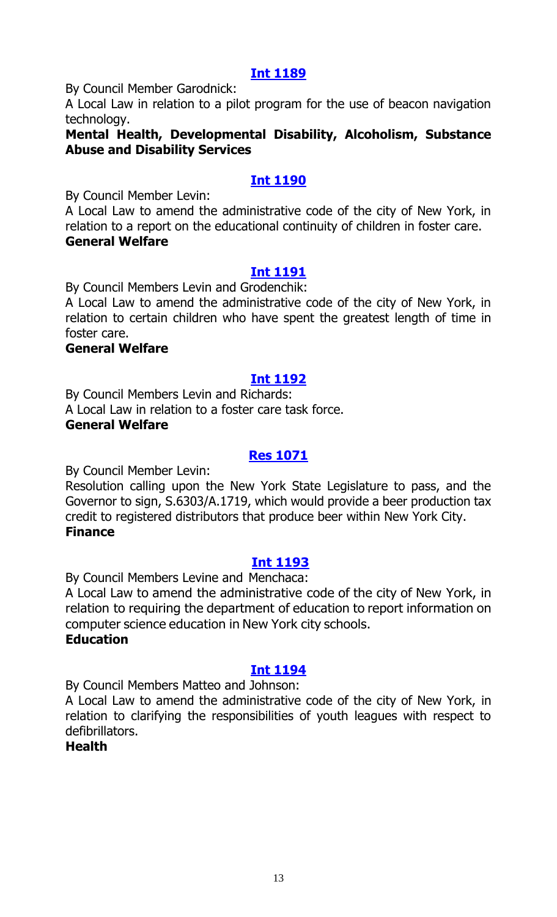## **[Int 1189](http://legistar.council.nyc.gov/LegislationDetail.aspx?ID=2735468&GUID=F9616D38-BA59-4CFD-83C8-85292A0C3D4D&Options=ID|&Search=)**

By Council Member Garodnick:

A Local Law in relation to a pilot program for the use of beacon navigation technology.

#### **Mental Health, Developmental Disability, Alcoholism, Substance Abuse and Disability Services**

### **[Int 1190](http://legistar.council.nyc.gov/LegislationDetail.aspx?ID=2735480&GUID=578BA67A-8501-4E08-A090-8260750ABC21&Options=ID|&Search=)**

By Council Member Levin:

A Local Law to amend the administrative code of the city of New York, in relation to a report on the educational continuity of children in foster care. **General Welfare**

#### **[Int 1191](http://legistar.council.nyc.gov/LegislationDetail.aspx?ID=2735481&GUID=37A790AA-65EC-47A3-881B-72B4D5E42D25&Options=ID|&Search=)**

By Council Members Levin and Grodenchik:

A Local Law to amend the administrative code of the city of New York, in relation to certain children who have spent the greatest length of time in foster care.

#### **General Welfare**

#### **[Int 1192](http://legistar.council.nyc.gov/LegislationDetail.aspx?ID=2735469&GUID=7EDC8458-EB93-447B-A91B-E0A5D9C70348&Options=ID|&Search=)**

By Council Members Levin and Richards: A Local Law in relation to a foster care task force.

## **General Welfare**

#### **[Res 1071](http://legistar.council.nyc.gov/LegislationDetail.aspx?ID=2735504&GUID=2B6C3AD8-8489-4697-B497-E2709AE320C0&Options=ID|&Search=)**

By Council Member Levin:

Resolution calling upon the New York State Legislature to pass, and the Governor to sign, S.6303/A.1719, which would provide a beer production tax credit to registered distributors that produce beer within New York City. **Finance**

#### **[Int 1193](http://legistar.council.nyc.gov/LegislationDetail.aspx?ID=2735476&GUID=71B3AFEC-327A-4285-BB71-81BF362D0CAE&Options=ID|&Search=)**

By Council Members Levine and Menchaca:

A Local Law to amend the administrative code of the city of New York, in relation to requiring the department of education to report information on computer science education in New York city schools.

#### **Education**

## **[Int 1194](http://legistar.council.nyc.gov/LegislationDetail.aspx?ID=2735473&GUID=62D2E715-4407-47FB-A36B-85F19AF2BD45&Options=ID|&Search=)**

By Council Members Matteo and Johnson:

A Local Law to amend the administrative code of the city of New York, in relation to clarifying the responsibilities of youth leagues with respect to defibrillators.

## **Health**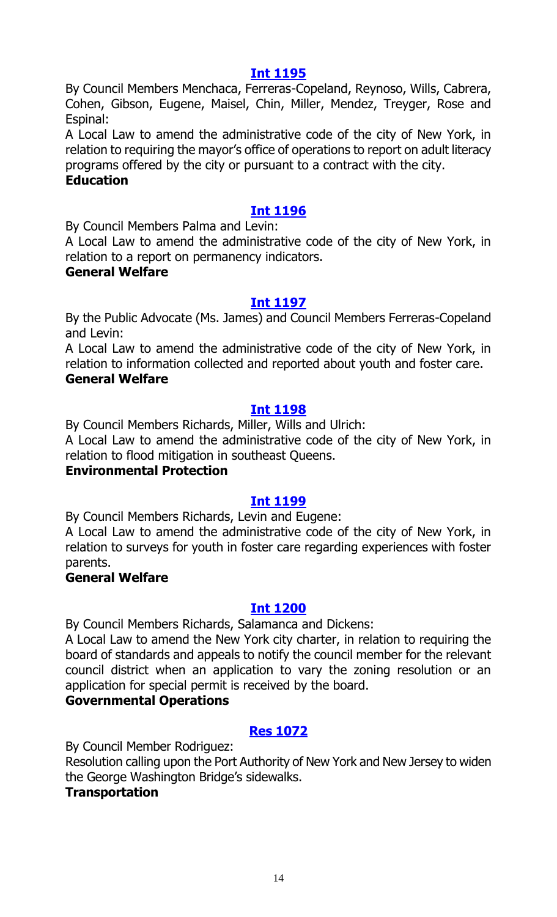#### **[Int 1195](http://legistar.council.nyc.gov/LegislationDetail.aspx?ID=2735467&GUID=77BD90E1-2954-4E2F-AD38-B97E6C11DB9F&Options=ID|&Search=)**

By Council Members Menchaca, Ferreras-Copeland, Reynoso, Wills, Cabrera, Cohen, Gibson, Eugene, Maisel, Chin, Miller, Mendez, Treyger, Rose and Espinal:

A Local Law to amend the administrative code of the city of New York, in relation to requiring the mayor's office of operations to report on adult literacy programs offered by the city or pursuant to a contract with the city.

#### **Education**

## **[Int 1196](http://legistar.council.nyc.gov/LegislationDetail.aspx?ID=2735479&GUID=6AD812A6-7F80-479E-A374-33D38F6A421E&Options=ID|&Search=)**

By Council Members Palma and Levin:

A Local Law to amend the administrative code of the city of New York, in relation to a report on permanency indicators.

#### **General Welfare**

#### **[Int 1197](http://legistar.council.nyc.gov/LegislationDetail.aspx?ID=2735484&GUID=F4A608C4-2738-43C7-A615-5A1EE0394B83&Options=ID|&Search=)**

By the Public Advocate (Ms. James) and Council Members Ferreras-Copeland and Levin:

A Local Law to amend the administrative code of the city of New York, in relation to information collected and reported about youth and foster care. **General Welfare**

### **[Int 1198](http://legistar.council.nyc.gov/LegislationDetail.aspx?ID=2735486&GUID=0AB6D323-730D-4EE8-9AD8-C61230E0481D&Options=ID|&Search=)**

By Council Members Richards, Miller, Wills and Ulrich: A Local Law to amend the administrative code of the city of New York, in

relation to flood mitigation in southeast Queens.

#### **Environmental Protection**

#### **[Int 1199](http://legistar.council.nyc.gov/LegislationDetail.aspx?ID=2735483&GUID=4AF3CACB-88C2-4D37-B998-23751B973DCC&Options=ID|&Search=)**

By Council Members Richards, Levin and Eugene:

A Local Law to amend the administrative code of the city of New York, in relation to surveys for youth in foster care regarding experiences with foster parents.

#### **General Welfare**

#### **[Int 1200](http://legistar.council.nyc.gov/LegislationDetail.aspx?ID=2735472&GUID=7E57171B-CD9A-4AA1-A7E2-B96DB545B9C9&Options=ID|&Search=)**

By Council Members Richards, Salamanca and Dickens:

A Local Law to amend the New York city charter, in relation to requiring the board of standards and appeals to notify the council member for the relevant council district when an application to vary the zoning resolution or an application for special permit is received by the board.

#### **Governmental Operations**

## **[Res 1072](http://legistar.council.nyc.gov/LegislationDetail.aspx?ID=2735496&GUID=8FFC737A-2A66-4C37-B3FF-86D3828EDB3F&Options=ID|&Search=)**

By Council Member Rodriguez:

Resolution calling upon the Port Authority of New York and New Jersey to widen the George Washington Bridge's sidewalks.

#### **Transportation**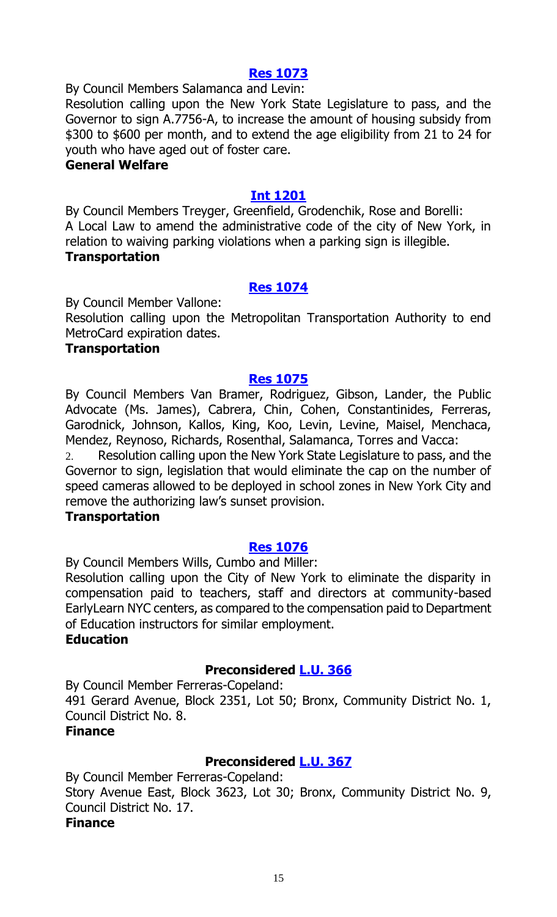#### **[Res 1073](http://legistar.council.nyc.gov/LegislationDetail.aspx?ID=2735492&GUID=6553CF6E-87E9-45F6-9CDB-AD4961E045E6&Options=ID|&Search=)**

By Council Members Salamanca and Levin: Resolution calling upon the New York State Legislature to pass, and the Governor to sign A.7756-A, to increase the amount of housing subsidy from \$300 to \$600 per month, and to extend the age eligibility from 21 to 24 for youth who have aged out of foster care.

#### **General Welfare**

#### **[Int 1201](http://legistar.council.nyc.gov/LegislationDetail.aspx?ID=2735470&GUID=866BFEBC-D5B0-4F30-B705-1881B79713C3&Options=ID|&Search=)**

By Council Members Treyger, Greenfield, Grodenchik, Rose and Borelli: A Local Law to amend the administrative code of the city of New York, in relation to waiving parking violations when a parking sign is illegible. **Transportation**

#### **[Res 1074](http://legistar.council.nyc.gov/LegislationDetail.aspx?ID=2735493&GUID=ED1F70BB-D3D4-458C-80FF-FC9233553AE8&Options=ID|&Search=)**

By Council Member Vallone:

Resolution calling upon the Metropolitan Transportation Authority to end MetroCard expiration dates.

#### **Transportation**

#### **[Res 1075](http://legistar.council.nyc.gov/LegislationDetail.aspx?ID=2735495&GUID=001712B5-4779-47F8-AE0B-FB6B85F4F14E&Options=ID|&Search=)**

By Council Members Van Bramer, Rodriguez, Gibson, Lander, the Public Advocate (Ms. James), Cabrera, Chin, Cohen, Constantinides, Ferreras, Garodnick, Johnson, Kallos, King, Koo, Levin, Levine, Maisel, Menchaca, Mendez, Reynoso, Richards, Rosenthal, Salamanca, Torres and Vacca:

2. Resolution calling upon the New York State Legislature to pass, and the Governor to sign, legislation that would eliminate the cap on the number of speed cameras allowed to be deployed in school zones in New York City and remove the authorizing law's sunset provision.

#### **Transportation**

#### **[Res 1076](http://legistar.council.nyc.gov/LegislationDetail.aspx?ID=2735491&GUID=F85268BD-31C2-4CD7-924A-551EA2610003&Options=ID|&Search=)**

By Council Members Wills, Cumbo and Miller:

Resolution calling upon the City of New York to eliminate the disparity in compensation paid to teachers, staff and directors at community-based EarlyLearn NYC centers, as compared to the compensation paid to Department of Education instructors for similar employment.

#### **Education**

#### **Preconsidered [L.U. 366](http://legistar.council.nyc.gov/LegislationDetail.aspx?ID=2733597&GUID=37BFB6E2-FFFE-4DA7-9C66-A4E0FE735A2A&Options=ID|&Search=)**

By Council Member Ferreras-Copeland:

491 Gerard Avenue, Block 2351, Lot 50; Bronx, Community District No. 1, Council District No. 8.

#### **Finance**

## **Preconsidered [L.U. 367](http://legistar.council.nyc.gov/LegislationDetail.aspx?ID=2733617&GUID=131D89BF-F41A-4DEB-A5BD-7760F820F74B&Options=ID|&Search=)**

By Council Member Ferreras-Copeland:

Story Avenue East, Block 3623, Lot 30; Bronx, Community District No. 9, Council District No. 17.

#### **Finance**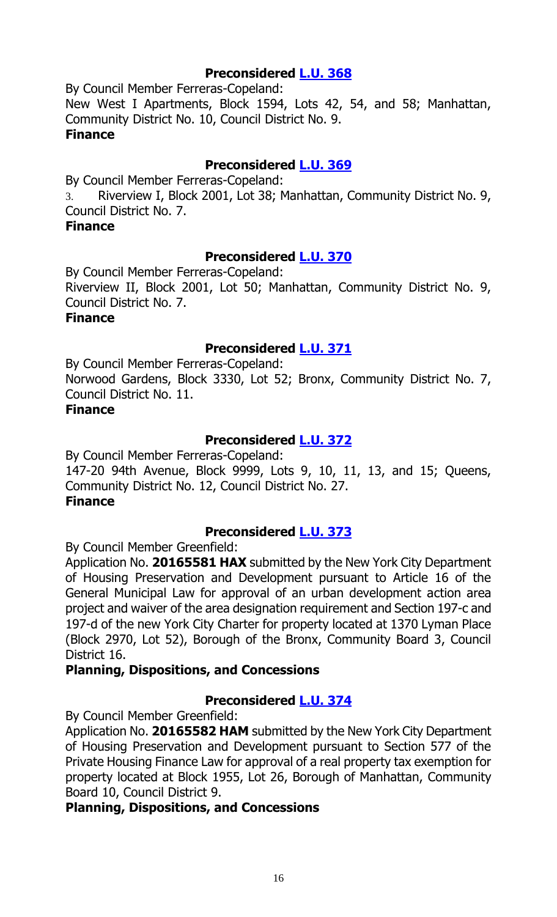### **Preconsidered [L.U. 368](http://legistar.council.nyc.gov/LegislationDetail.aspx?ID=2733618&GUID=23778F19-9827-40D6-AA29-3BB0972C5D00&Options=ID|&Search=)**

By Council Member Ferreras-Copeland: New West I Apartments, Block 1594, Lots 42, 54, and 58; Manhattan, Community District No. 10, Council District No. 9. **Finance**

### **Preconsidered [L.U. 369](http://legistar.council.nyc.gov/LegislationDetail.aspx?ID=2733619&GUID=F308248D-4E41-48F7-B224-FBFDE84656CD&Options=ID|&Search=)**

By Council Member Ferreras-Copeland:

3. Riverview I, Block 2001, Lot 38; Manhattan, Community District No. 9, Council District No. 7.

#### **Finance**

### **Preconsidered [L.U. 370](http://legistar.council.nyc.gov/LegislationDetail.aspx?ID=2733647&GUID=B358B512-9660-44DC-9369-E6BA09763125&Options=ID|&Search=)**

By Council Member Ferreras-Copeland:

Riverview II, Block 2001, Lot 50; Manhattan, Community District No. 9, Council District No. 7.

#### **Finance**

### **Preconsidered [L.U. 371](http://legistar.council.nyc.gov/LegislationDetail.aspx?ID=2733648&GUID=BD1B868B-07A6-4CFB-A016-633C315F61CB&Options=ID|&Search=)**

By Council Member Ferreras-Copeland: Norwood Gardens, Block 3330, Lot 52; Bronx, Community District No. 7, Council District No. 11.

### **Finance**

## **Preconsidered [L.U. 372](http://legistar.council.nyc.gov/LegislationDetail.aspx?ID=2733660&GUID=D123EE5D-CF1B-446B-BCAC-C9A8AEDDEB2E&Options=ID|&Search=)**

By Council Member Ferreras-Copeland: 147-20 94th Avenue, Block 9999, Lots 9, 10, 11, 13, and 15; Queens, Community District No. 12, Council District No. 27. **Finance**

#### **Preconsidered [L.U. 373](http://legistar.council.nyc.gov/LegislationDetail.aspx?ID=2722568&GUID=7C617DA4-03C4-40FC-A867-95A0396D953D&Options=ID|&Search=)**

By Council Member Greenfield:

Application No. **20165581 HAX** submitted by the New York City Department of Housing Preservation and Development pursuant to Article 16 of the General Municipal Law for approval of an urban development action area project and waiver of the area designation requirement and Section 197-c and 197-d of the new York City Charter for property located at 1370 Lyman Place (Block 2970, Lot 52), Borough of the Bronx, Community Board 3, Council District 16.

#### **Planning, Dispositions, and Concessions**

## **Preconsidered [L.U. 374](http://legistar.council.nyc.gov/LegislationDetail.aspx?ID=2722569&GUID=8482153C-8B46-411C-83A3-1F33641C4850&Options=ID|&Search=)**

By Council Member Greenfield:

Application No. **20165582 HAM** submitted by the New York City Department of Housing Preservation and Development pursuant to Section 577 of the Private Housing Finance Law for approval of a real property tax exemption for property located at Block 1955, Lot 26, Borough of Manhattan, Community Board 10, Council District 9.

#### **Planning, Dispositions, and Concessions**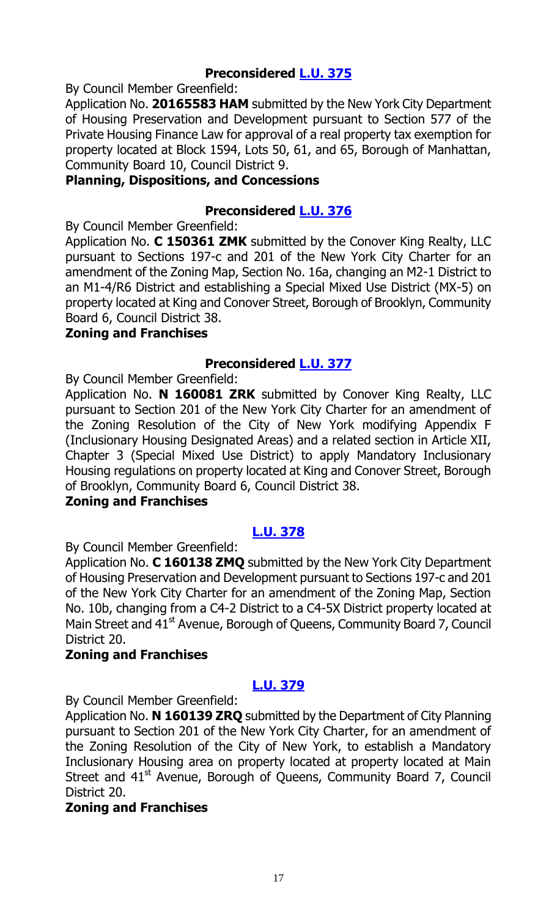## **Preconsidered [L.U. 375](http://legistar.council.nyc.gov/LegislationDetail.aspx?ID=2722589&GUID=75D7D729-A103-4D2D-AEA7-A4523715EA01&Options=ID|&Search=)**

By Council Member Greenfield:

Application No. **20165583 HAM** submitted by the New York City Department of Housing Preservation and Development pursuant to Section 577 of the Private Housing Finance Law for approval of a real property tax exemption for property located at Block 1594, Lots 50, 61, and 65, Borough of Manhattan, Community Board 10, Council District 9.

#### **Planning, Dispositions, and Concessions**

## **Preconsidered [L.U. 376](http://legistar.council.nyc.gov/LegislationDetail.aspx?ID=2722540&GUID=D138B437-ABA0-4178-8342-43D5DCC62C33&Options=ID|&Search=)**

By Council Member Greenfield:

Application No. **C 150361 ZMK** submitted by the Conover King Realty, LLC pursuant to Sections 197-c and 201 of the New York City Charter for an amendment of the Zoning Map, Section No. 16a, changing an M2-1 District to an M1-4/R6 District and establishing a Special Mixed Use District (MX-5) on property located at King and Conover Street, Borough of Brooklyn, Community Board 6, Council District 38.

#### **Zoning and Franchises**

### **Preconsidered [L.U. 377](http://legistar.council.nyc.gov/LegislationDetail.aspx?ID=2722567&GUID=FF494A76-E367-45FA-8D1A-2438C432F0A1&Options=ID|&Search=0377)**

By Council Member Greenfield:

Application No. **N 160081 ZRK** submitted by Conover King Realty, LLC pursuant to Section 201 of the New York City Charter for an amendment of the Zoning Resolution of the City of New York modifying Appendix F (Inclusionary Housing Designated Areas) and a related section in Article XII, Chapter 3 (Special Mixed Use District) to apply Mandatory Inclusionary Housing regulations on property located at King and Conover Street, Borough of Brooklyn, Community Board 6, Council District 38.

#### **Zoning and Franchises**

## **[L.U. 378](http://legistar.council.nyc.gov/LegislationDetail.aspx?ID=2735389&GUID=13D8D22B-6BF2-4C2B-BAC3-D5488B3ECDDD&Options=ID|&Search=)**

By Council Member Greenfield:

Application No. **C 160138 ZMQ** submitted by the New York City Department of Housing Preservation and Development pursuant to Sections 197-c and 201 of the New York City Charter for an amendment of the Zoning Map, Section No. 10b, changing from a C4-2 District to a C4-5X District property located at Main Street and 41<sup>st</sup> Avenue, Borough of Queens, Community Board 7, Council District 20.

## **Zoning and Franchises**

## **[L.U. 379](http://legistar.council.nyc.gov/LegislationDetail.aspx?ID=2735390&GUID=9FD39F3E-AFBD-4F81-AC86-033197CD939F&Options=ID|&Search=)**

By Council Member Greenfield:

Application No. **N 160139 ZRQ** submitted by the Department of City Planning pursuant to Section 201 of the New York City Charter, for an amendment of the Zoning Resolution of the City of New York, to establish a Mandatory Inclusionary Housing area on property located at property located at Main Street and  $41<sup>st</sup>$  Avenue, Borough of Queens, Community Board 7, Council District 20.

#### **Zoning and Franchises**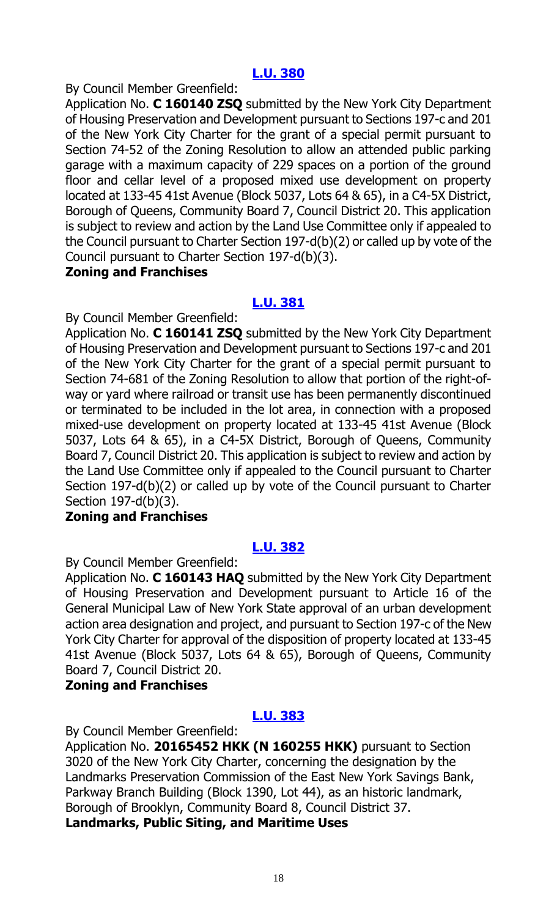## **[L.U. 380](http://legistar.council.nyc.gov/LegislationDetail.aspx?ID=2735391&GUID=EAEAC3F1-4CF4-4674-BACC-418C191749E1&Options=ID|&Search=)**

By Council Member Greenfield:

Application No. **C 160140 ZSQ** submitted by the New York City Department of Housing Preservation and Development pursuant to Sections 197-c and 201 of the New York City Charter for the grant of a special permit pursuant to Section 74-52 of the Zoning Resolution to allow an attended public parking garage with a maximum capacity of 229 spaces on a portion of the ground floor and cellar level of a proposed mixed use development on property located at 133-45 41st Avenue (Block 5037, Lots 64 & 65), in a C4-5X District, Borough of Queens, Community Board 7, Council District 20. This application is subject to review and action by the Land Use Committee only if appealed to the Council pursuant to Charter Section 197-d(b)(2) or called up by vote of the Council pursuant to Charter Section 197-d(b)(3).

#### **Zoning and Franchises**

#### **[L.U. 381](http://legistar.council.nyc.gov/LegislationDetail.aspx?ID=2735392&GUID=404627A6-F071-433A-940D-9A097A148C85&Options=ID|&Search=)**

By Council Member Greenfield:

Application No. **C 160141 ZSQ** submitted by the New York City Department of Housing Preservation and Development pursuant to Sections 197-c and 201 of the New York City Charter for the grant of a special permit pursuant to Section 74-681 of the Zoning Resolution to allow that portion of the right-ofway or yard where railroad or transit use has been permanently discontinued or terminated to be included in the lot area, in connection with a proposed mixed-use development on property located at 133-45 41st Avenue (Block 5037, Lots 64 & 65), in a C4-5X District, Borough of Queens, Community Board 7, Council District 20. This application is subject to review and action by the Land Use Committee only if appealed to the Council pursuant to Charter Section 197-d(b)(2) or called up by vote of the Council pursuant to Charter Section 197-d(b)(3).

#### **Zoning and Franchises**

#### **[L.U. 382](http://legistar.council.nyc.gov/LegislationDetail.aspx?ID=2735393&GUID=127973EE-5A4D-4298-8080-1FF581CF9058&Options=ID|&Search=)**

By Council Member Greenfield:

Application No. **C 160143 HAQ** submitted by the New York City Department of Housing Preservation and Development pursuant to Article 16 of the General Municipal Law of New York State approval of an urban development action area designation and project, and pursuant to Section 197-c of the New York City Charter for approval of the disposition of property located at 133-45 41st Avenue (Block 5037, Lots 64 & 65), Borough of Queens, Community Board 7, Council District 20.

#### **Zoning and Franchises**

## **[L.U. 383](http://legistar.council.nyc.gov/LegislationDetail.aspx?ID=2735394&GUID=EF42EA21-6797-414A-A448-1273DEB85E33&Options=ID|&Search=)**

By Council Member Greenfield:

Application No. **20165452 HKK (N 160255 HKK)** pursuant to Section 3020 of the New York City Charter, concerning the designation by the Landmarks Preservation Commission of the East New York Savings Bank, Parkway Branch Building (Block 1390, Lot 44), as an historic landmark, Borough of Brooklyn, Community Board 8, Council District 37. **Landmarks, Public Siting, and Maritime Uses**